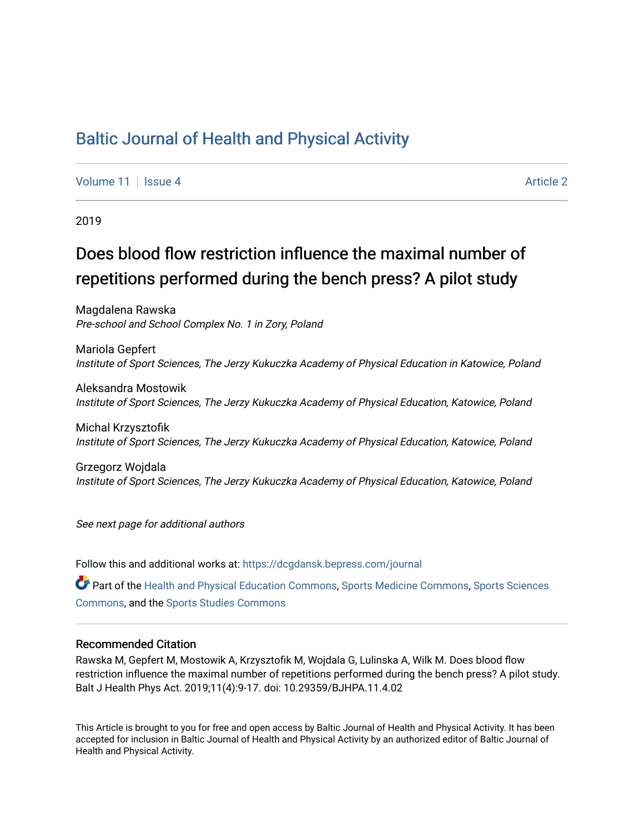## [Baltic Journal of Health and Physical Activity](https://dcgdansk.bepress.com/journal)

[Volume 11](https://dcgdansk.bepress.com/journal/vol11) | [Issue 4](https://dcgdansk.bepress.com/journal/vol11/iss4) Article 2

2019

# Does blood flow restriction influence the maximal number of repetitions performed during the bench press? A pilot study

Magdalena Rawska Pre-school and School Complex No. 1 in Zory, Poland

Mariola Gepfert Institute of Sport Sciences, The Jerzy Kukuczka Academy of Physical Education in Katowice, Poland

Aleksandra Mostowik Institute of Sport Sciences, The Jerzy Kukuczka Academy of Physical Education, Katowice, Poland

Michal Krzysztofik Institute of Sport Sciences, The Jerzy Kukuczka Academy of Physical Education, Katowice, Poland

Grzegorz Wojdala Institute of Sport Sciences, The Jerzy Kukuczka Academy of Physical Education, Katowice, Poland

See next page for additional authors

Follow this and additional works at: [https://dcgdansk.bepress.com/journal](https://dcgdansk.bepress.com/journal?utm_source=dcgdansk.bepress.com%2Fjournal%2Fvol11%2Fiss4%2F2&utm_medium=PDF&utm_campaign=PDFCoverPages)

Part of the [Health and Physical Education Commons](http://network.bepress.com/hgg/discipline/1327?utm_source=dcgdansk.bepress.com%2Fjournal%2Fvol11%2Fiss4%2F2&utm_medium=PDF&utm_campaign=PDFCoverPages), [Sports Medicine Commons,](http://network.bepress.com/hgg/discipline/1331?utm_source=dcgdansk.bepress.com%2Fjournal%2Fvol11%2Fiss4%2F2&utm_medium=PDF&utm_campaign=PDFCoverPages) [Sports Sciences](http://network.bepress.com/hgg/discipline/759?utm_source=dcgdansk.bepress.com%2Fjournal%2Fvol11%2Fiss4%2F2&utm_medium=PDF&utm_campaign=PDFCoverPages) [Commons](http://network.bepress.com/hgg/discipline/759?utm_source=dcgdansk.bepress.com%2Fjournal%2Fvol11%2Fiss4%2F2&utm_medium=PDF&utm_campaign=PDFCoverPages), and the [Sports Studies Commons](http://network.bepress.com/hgg/discipline/1198?utm_source=dcgdansk.bepress.com%2Fjournal%2Fvol11%2Fiss4%2F2&utm_medium=PDF&utm_campaign=PDFCoverPages) 

#### Recommended Citation

Rawska M, Gepfert M, Mostowik A, Krzysztofik M, Wojdala G, Lulinska A, Wilk M. Does blood flow restriction influence the maximal number of repetitions performed during the bench press? A pilot study. Balt J Health Phys Act. 2019;11(4):9-17. doi: 10.29359/BJHPA.11.4.02

This Article is brought to you for free and open access by Baltic Journal of Health and Physical Activity. It has been accepted for inclusion in Baltic Journal of Health and Physical Activity by an authorized editor of Baltic Journal of Health and Physical Activity.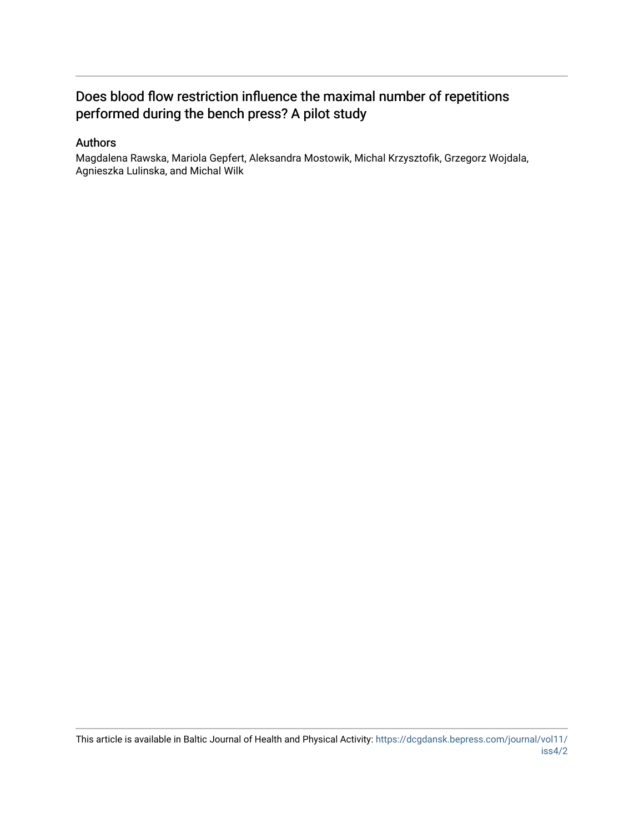## Does blood flow restriction influence the maximal number of repetitions performed during the bench press? A pilot study

## Authors

Magdalena Rawska, Mariola Gepfert, Aleksandra Mostowik, Michal Krzysztofik, Grzegorz Wojdala, Agnieszka Lulinska, and Michal Wilk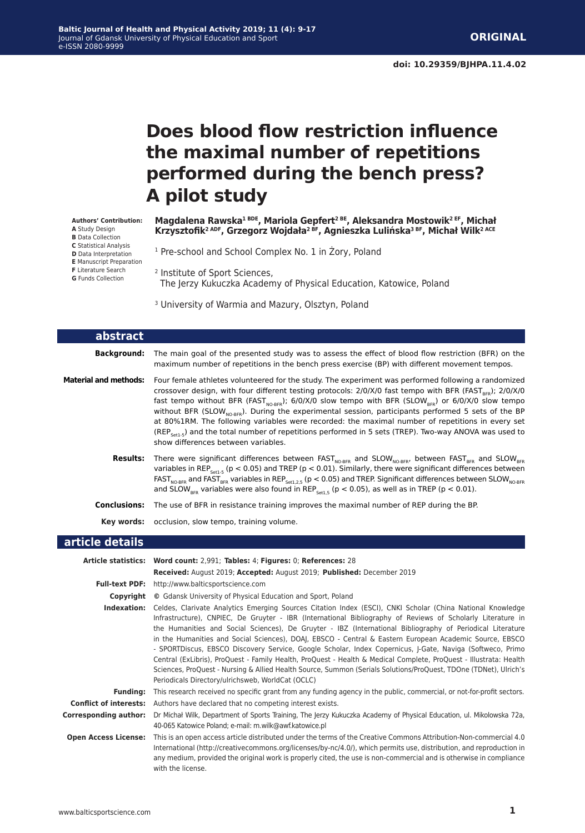# **Does blood flow restriction influence the maximal number of repetitions performed during the bench press? A pilot study**

**Magdalena Rawska1 BDE, Mariola Gepfert2 BE, Aleksandra Mostowik2 EF, Michał Krzysztofik2 ADF, Grzegorz Wojdała2 BF, Agnieszka Lulińska3 BF, Michał Wilk2 ACE**

<sup>1</sup> Pre-school and School Complex No. 1 in Żory, Poland

- <sup>2</sup> Institute of Sport Sciences, The Jerzy Kukuczka Academy of Physical Education, Katowice, Poland
	- <sup>3</sup> University of Warmia and Mazury, Olsztyn, Poland

| abstract                     |                                                                                                                                                                                                                                                                                                                                                                                                                                                                                                                                                                                                                                                                                                                                                     |
|------------------------------|-----------------------------------------------------------------------------------------------------------------------------------------------------------------------------------------------------------------------------------------------------------------------------------------------------------------------------------------------------------------------------------------------------------------------------------------------------------------------------------------------------------------------------------------------------------------------------------------------------------------------------------------------------------------------------------------------------------------------------------------------------|
| Background:                  | The main goal of the presented study was to assess the effect of blood flow restriction (BFR) on the<br>maximum number of repetitions in the bench press exercise (BP) with different movement tempos.                                                                                                                                                                                                                                                                                                                                                                                                                                                                                                                                              |
| <b>Material and methods:</b> | Four female athletes volunteered for the study. The experiment was performed following a randomized<br>crossover design, with four different testing protocols: $2/0$ /X/0 fast tempo with BFR (FAST <sub>BED</sub> ); $2/0$ /X/0<br>fast tempo without BFR (FAST <sub>MO-BEP</sub> ); 6/0/X/0 slow tempo with BFR (SLOW <sub>BEP</sub> ) or 6/0/X/0 slow tempo<br>without BFR (SLOW <sub>NO-RFR</sub> ). During the experimental session, participants performed 5 sets of the BP<br>at 80%1RM. The following variables were recorded: the maximal number of repetitions in every set<br>(REP <sub>setl-5</sub> ) and the total number of repetitions performed in 5 sets (TREP). Two-way ANOVA was used to<br>show differences between variables. |
| <b>Results:</b>              | There were significant differences between FAST <sub>NO-RER</sub> and SLOW <sub>NO-RER</sub> , between FAST <sub>RER</sub> and SLOW <sub>RER</sub><br>variables in REP <sub>set1-5</sub> ( $p < 0.05$ ) and TREP ( $p < 0.01$ ). Similarly, there were significant differences between<br>FAST <sub>NO-BFR</sub> and FAST <sub>BFR</sub> variables in REP <sub>set1.2.5</sub> (p < 0.05) and TREP. Significant differences between SLOW <sub>NO-BFR</sub><br>and SLOW <sub>RFR</sub> variables were also found in REP <sub>set15</sub> ( $p < 0.05$ ), as well as in TREP ( $p < 0.01$ ).                                                                                                                                                           |
| <b>Conclusions:</b>          | The use of BFR in resistance training improves the maximal number of REP during the BP.                                                                                                                                                                                                                                                                                                                                                                                                                                                                                                                                                                                                                                                             |
| Key words:                   | occlusion, slow tempo, training volume.                                                                                                                                                                                                                                                                                                                                                                                                                                                                                                                                                                                                                                                                                                             |
| article details              |                                                                                                                                                                                                                                                                                                                                                                                                                                                                                                                                                                                                                                                                                                                                                     |

|                               | Article statistics: Word count: 2,991; Tables: 4; Figures: 0; References: 28                                                                                                                                                                                                                                                                                                                                                                                                                                                                                                                                                                                                                                                                                                                                                                                  |  |  |  |  |  |
|-------------------------------|---------------------------------------------------------------------------------------------------------------------------------------------------------------------------------------------------------------------------------------------------------------------------------------------------------------------------------------------------------------------------------------------------------------------------------------------------------------------------------------------------------------------------------------------------------------------------------------------------------------------------------------------------------------------------------------------------------------------------------------------------------------------------------------------------------------------------------------------------------------|--|--|--|--|--|
|                               | Received: August 2019; Accepted: August 2019; Published: December 2019                                                                                                                                                                                                                                                                                                                                                                                                                                                                                                                                                                                                                                                                                                                                                                                        |  |  |  |  |  |
|                               | <b>Full-text PDF:</b> http://www.balticsportscience.com                                                                                                                                                                                                                                                                                                                                                                                                                                                                                                                                                                                                                                                                                                                                                                                                       |  |  |  |  |  |
| Copyright                     | © Gdansk University of Physical Education and Sport, Poland                                                                                                                                                                                                                                                                                                                                                                                                                                                                                                                                                                                                                                                                                                                                                                                                   |  |  |  |  |  |
| Indexation:                   | Celdes, Clarivate Analytics Emerging Sources Citation Index (ESCI), CNKI Scholar (China National Knowledge<br>Infrastructure), CNPIEC, De Gruyter - IBR (International Bibliography of Reviews of Scholarly Literature in<br>the Humanities and Social Sciences), De Gruyter - IBZ (International Bibliography of Periodical Literature<br>in the Humanities and Social Sciences), DOAJ, EBSCO - Central & Eastern European Academic Source, EBSCO<br>- SPORTDiscus, EBSCO Discovery Service, Google Scholar, Index Copernicus, J-Gate, Naviga (Softweco, Primo<br>Central (ExLibris), ProQuest - Family Health, ProQuest - Health & Medical Complete, ProQuest - Illustrata: Health<br>Sciences, ProQuest - Nursing & Allied Health Source, Summon (Serials Solutions/ProQuest, TDOne (TDNet), Ulrich's<br>Periodicals Directory/ulrichsweb, WorldCat (OCLC) |  |  |  |  |  |
| <b>Funding:</b>               | This research received no specific grant from any funding agency in the public, commercial, or not-for-profit sectors.                                                                                                                                                                                                                                                                                                                                                                                                                                                                                                                                                                                                                                                                                                                                        |  |  |  |  |  |
| <b>Conflict of interests:</b> | Authors have declared that no competing interest exists.                                                                                                                                                                                                                                                                                                                                                                                                                                                                                                                                                                                                                                                                                                                                                                                                      |  |  |  |  |  |
| <b>Corresponding author:</b>  | Dr Michał Wilk, Department of Sports Training, The Jerzy Kukuczka Academy of Physical Education, ul. Mikolowska 72a,<br>40-065 Katowice Poland; e-mail: m.wilk@awf.katowice.pl                                                                                                                                                                                                                                                                                                                                                                                                                                                                                                                                                                                                                                                                                |  |  |  |  |  |
| <b>Open Access License:</b>   | This is an open access article distributed under the terms of the Creative Commons Attribution-Non-commercial 4.0<br>International (http://creativecommons.org/licenses/by-nc/4.0/), which permits use, distribution, and reproduction in<br>any medium, provided the original work is properly cited, the use is non-commercial and is otherwise in compliance<br>with the license.                                                                                                                                                                                                                                                                                                                                                                                                                                                                          |  |  |  |  |  |

**Authors' Contribution: A** Study Design

- **B** Data Collection
- **C** Statistical Analysis
- **D** Data Interpretation
- **E** Manuscript Preparation
- **F** Literature Search **G** Funds Collection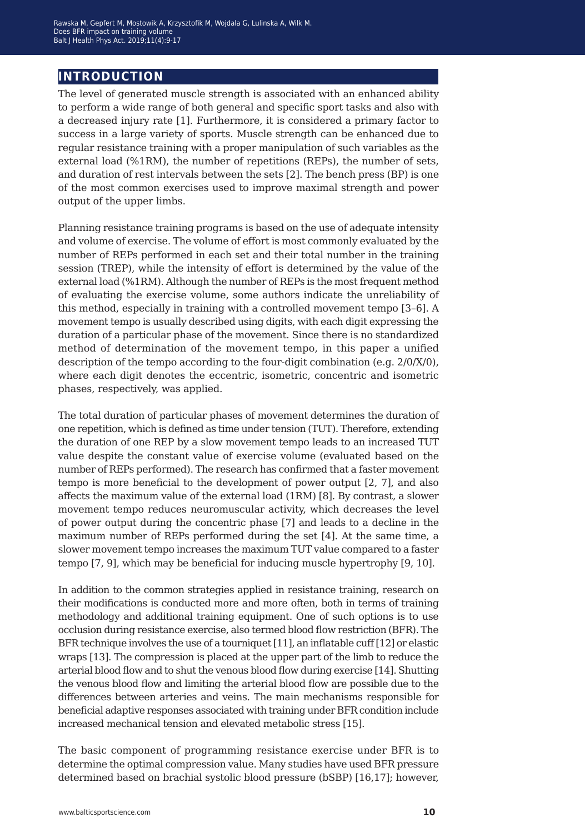## **introduction**

The level of generated muscle strength is associated with an enhanced ability to perform a wide range of both general and specific sport tasks and also with a decreased injury rate [1]. Furthermore, it is considered a primary factor to success in a large variety of sports. Muscle strength can be enhanced due to regular resistance training with a proper manipulation of such variables as the external load (%1RM), the number of repetitions (REPs), the number of sets, and duration of rest intervals between the sets [2]. The bench press (BP) is one of the most common exercises used to improve maximal strength and power output of the upper limbs.

Planning resistance training programs is based on the use of adequate intensity and volume of exercise. The volume of effort is most commonly evaluated by the number of REPs performed in each set and their total number in the training session (TREP), while the intensity of effort is determined by the value of the external load (%1RM). Although the number of REPs is the most frequent method of evaluating the exercise volume, some authors indicate the unreliability of this method, especially in training with a controlled movement tempo [3–6]. A movement tempo is usually described using digits, with each digit expressing the duration of a particular phase of the movement. Since there is no standardized method of determination of the movement tempo, in this paper a unified description of the tempo according to the four-digit combination (e.g. 2/0/X/0), where each digit denotes the eccentric, isometric, concentric and isometric phases, respectively, was applied.

The total duration of particular phases of movement determines the duration of one repetition, which is defined as time under tension (TUT). Therefore, extending the duration of one REP by a slow movement tempo leads to an increased TUT value despite the constant value of exercise volume (evaluated based on the number of REPs performed). The research has confirmed that a faster movement tempo is more beneficial to the development of power output [2, 7], and also affects the maximum value of the external load (1RM) [8]. By contrast, a slower movement tempo reduces neuromuscular activity, which decreases the level of power output during the concentric phase [7] and leads to a decline in the maximum number of REPs performed during the set [4]. At the same time, a slower movement tempo increases the maximum TUT value compared to a faster tempo [7, 9], which may be beneficial for inducing muscle hypertrophy [9, 10].

In addition to the common strategies applied in resistance training, research on their modifications is conducted more and more often, both in terms of training methodology and additional training equipment. One of such options is to use occlusion during resistance exercise, also termed blood flow restriction (BFR). The BFR technique involves the use of a tourniquet [11], an inflatable cuff [12] or elastic wraps [13]. The compression is placed at the upper part of the limb to reduce the arterial blood flow and to shut the venous blood flow during exercise [14]. Shutting the venous blood flow and limiting the arterial blood flow are possible due to the differences between arteries and veins. The main mechanisms responsible for beneficial adaptive responses associated with training under BFR condition include increased mechanical tension and elevated metabolic stress [15].

The basic component of programming resistance exercise under BFR is to determine the optimal compression value. Many studies have used BFR pressure determined based on brachial systolic blood pressure (bSBP) [16,17]; however,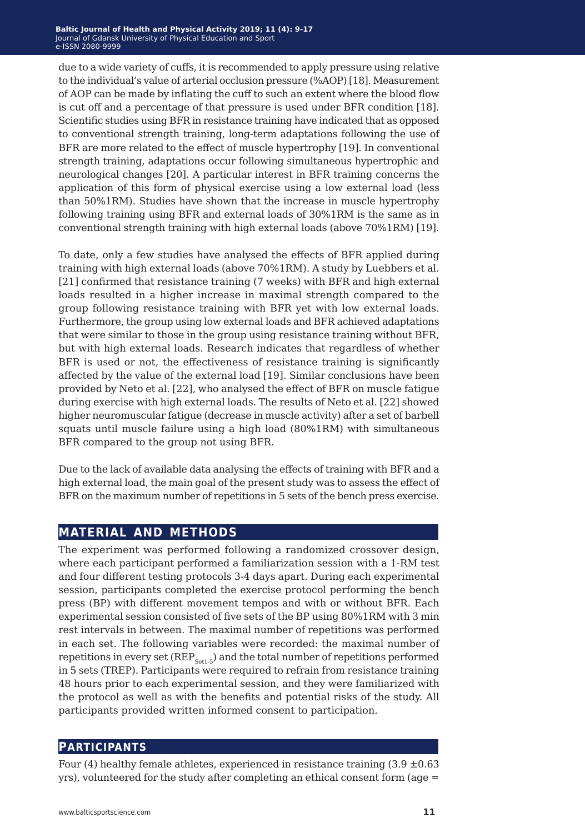due to a wide variety of cuffs, it is recommended to apply pressure using relative to the individual's value of arterial occlusion pressure (%AOP) [18]. Measurement of AOP can be made by inflating the cuff to such an extent where the blood flow is cut off and a percentage of that pressure is used under BFR condition [18]. Scientific studies using BFR in resistance training have indicated that as opposed to conventional strength training, long-term adaptations following the use of BFR are more related to the effect of muscle hypertrophy [19]. In conventional strength training, adaptations occur following simultaneous hypertrophic and neurological changes [20]. A particular interest in BFR training concerns the application of this form of physical exercise using a low external load (less than 50%1RM). Studies have shown that the increase in muscle hypertrophy following training using BFR and external loads of 30%1RM is the same as in conventional strength training with high external loads (above 70%1RM) [19].

To date, only a few studies have analysed the effects of BFR applied during training with high external loads (above 70%1RM). A study by Luebbers et al. [21] confirmed that resistance training (7 weeks) with BFR and high external loads resulted in a higher increase in maximal strength compared to the group following resistance training with BFR yet with low external loads. Furthermore, the group using low external loads and BFR achieved adaptations that were similar to those in the group using resistance training without BFR, but with high external loads. Research indicates that regardless of whether BFR is used or not, the effectiveness of resistance training is significantly affected by the value of the external load [19]. Similar conclusions have been provided by Neto et al. [22], who analysed the effect of BFR on muscle fatigue during exercise with high external loads. The results of Neto et al. [22] showed higher neuromuscular fatigue (decrease in muscle activity) after a set of barbell squats until muscle failure using a high load (80%1RM) with simultaneous BFR compared to the group not using BFR.

Due to the lack of available data analysing the effects of training with BFR and a high external load, the main goal of the present study was to assess the effect of BFR on the maximum number of repetitions in 5 sets of the bench press exercise.

## **material and methods**

The experiment was performed following a randomized crossover design, where each participant performed a familiarization session with a 1-RM test and four different testing protocols 3-4 days apart. During each experimental session, participants completed the exercise protocol performing the bench press (BP) with different movement tempos and with or without BFR. Each experimental session consisted of five sets of the BP using 80%1RM with 3 min rest intervals in between. The maximal number of repetitions was performed in each set. The following variables were recorded: the maximal number of repetitions in every set  $(REP_{\text{Set}1-5})$  and the total number of repetitions performed in 5 sets (TREP). Participants were required to refrain from resistance training 48 hours prior to each experimental session, and they were familiarized with the protocol as well as with the benefits and potential risks of the study. All participants provided written informed consent to participation.

### **participants**

Four (4) healthy female athletes, experienced in resistance training  $(3.9 \pm 0.63$ yrs), volunteered for the study after completing an ethical consent form (age =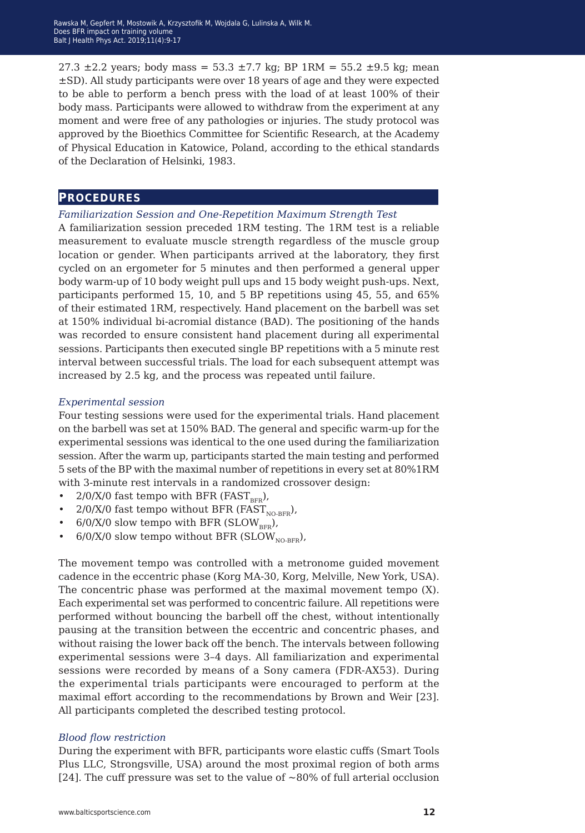27.3  $\pm$ 2.2 years; body mass = 53.3  $\pm$ 7.7 kg; BP 1RM = 55.2  $\pm$ 9.5 kg; mean ±SD). All study participants were over 18 years of age and they were expected to be able to perform a bench press with the load of at least 100% of their body mass. Participants were allowed to withdraw from the experiment at any moment and were free of any pathologies or injuries. The study protocol was approved by the Bioethics Committee for Scientific Research, at the Academy of Physical Education in Katowice, Poland, according to the ethical standards of the Declaration of Helsinki, 1983.

### **procedures**

#### *Familiarization Session and One-Repetition Maximum Strength Test*

A familiarization session preceded 1RM testing. The 1RM test is a reliable measurement to evaluate muscle strength regardless of the muscle group location or gender. When participants arrived at the laboratory, they first cycled on an ergometer for 5 minutes and then performed a general upper body warm-up of 10 body weight pull ups and 15 body weight push-ups. Next, participants performed 15, 10, and 5 BP repetitions using 45, 55, and 65% of their estimated 1RM, respectively. Hand placement on the barbell was set at 150% individual bi-acromial distance (BAD). The positioning of the hands was recorded to ensure consistent hand placement during all experimental sessions. Participants then executed single BP repetitions with a 5 minute rest interval between successful trials. The load for each subsequent attempt was increased by 2.5 kg, and the process was repeated until failure.

#### *Experimental session*

Four testing sessions were used for the experimental trials. Hand placement on the barbell was set at 150% BAD. The general and specific warm-up for the experimental sessions was identical to the one used during the familiarization session. After the warm up, participants started the main testing and performed 5 sets of the BP with the maximal number of repetitions in every set at 80%1RM with 3-minute rest intervals in a randomized crossover design:

- 2/0/X/0 fast tempo with BFR (FAST  $_{\rm BFR}$ ),<br>• 2/0/X/0 fast tempo without BFR (FAST)
- $2/0$ /X/0 fast tempo without BFR (FAST<sub>NO-BFR</sub>),
- $6/0$ /X/0 slow tempo with BFR (SLOW<sub>RFR</sub>),
- 6/0/X/0 slow tempo without BFR (SLOW<sub>NO-BFR</sub>),

The movement tempo was controlled with a metronome guided movement cadence in the eccentric phase (Korg MA-30, Korg, Melville, New York, USA). The concentric phase was performed at the maximal movement tempo (X). Each experimental set was performed to concentric failure. All repetitions were performed without bouncing the barbell off the chest, without intentionally pausing at the transition between the eccentric and concentric phases, and without raising the lower back off the bench. The intervals between following experimental sessions were 3–4 days. All familiarization and experimental sessions were recorded by means of a Sony camera (FDR-AX53). During the experimental trials participants were encouraged to perform at the maximal effort according to the recommendations by Brown and Weir [23]. All participants completed the described testing protocol.

#### *Blood flow restriction*

During the experiment with BFR, participants wore elastic cuffs (Smart Tools Plus LLC, Strongsville, USA) around the most proximal region of both arms [24]. The cuff pressure was set to the value of  $\sim$ 80% of full arterial occlusion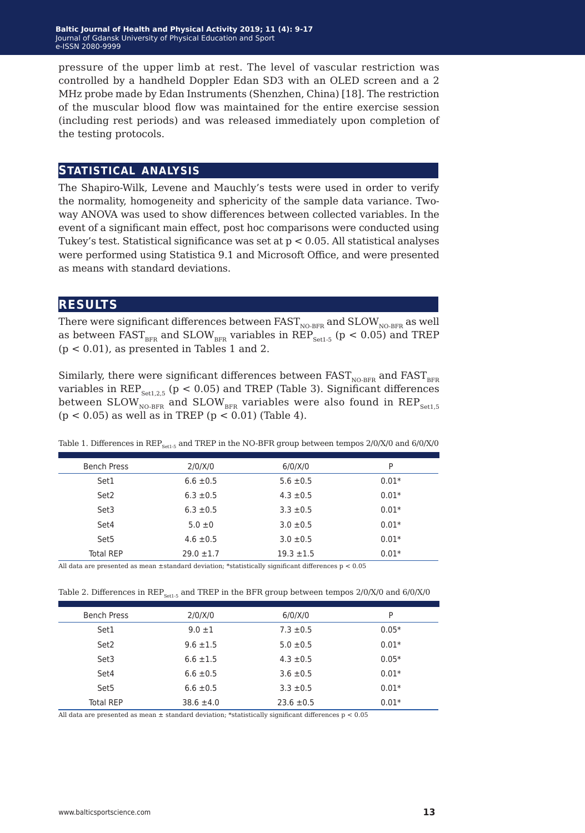pressure of the upper limb at rest. The level of vascular restriction was controlled by a handheld Doppler Edan SD3 with an OLED screen and a 2 MHz probe made by Edan Instruments (Shenzhen, China) [18]. The restriction of the muscular blood flow was maintained for the entire exercise session (including rest periods) and was released immediately upon completion of the testing protocols.

## **statistical analysis**

The Shapiro-Wilk, Levene and Mauchly's tests were used in order to verify the normality, homogeneity and sphericity of the sample data variance. Twoway ANOVA was used to show differences between collected variables. In the event of a significant main effect, post hoc comparisons were conducted using Tukey's test. Statistical significance was set at p < 0.05. All statistical analyses were performed using Statistica 9.1 and Microsoft Office, and were presented as means with standard deviations.

## **results**

There were significant differences between  $\text{FAST}_\text{NO-BFR}$  and  $\text{SLOW}_\text{NO-BFR}$  as well as between  $FAST_{BFR}$  and  $SLOW_{BFR}$  variables in  $REP_{Sert-5}$  (p < 0.05) and TREP  $(p < 0.01)$ , as presented in Tables 1 and 2.

Similarly, there were significant differences between  $FAST_{NO-BFR}$  and  $FAST_{BFR}$ variables in  $REP_{\text{Set1,2.5}}$  (p < 0.05) and TREP (Table 3). Significant differences between  $SLOW_{NO-BFR}$  and  $SLOW_{BFR}$  variables were also found in  $REP_{Set1,5}$  $(p < 0.05)$  as well as in TREP  $(p < 0.01)$  (Table 4).

| <b>Bench Press</b> | $2/0$ / $X/0$  | $6/0$ / $X/0$  | P       |
|--------------------|----------------|----------------|---------|
| Set1               | $6.6 \pm 0.5$  | $5.6 \pm 0.5$  | $0.01*$ |
| Set <sub>2</sub>   | $6.3 \pm 0.5$  | $4.3 \pm 0.5$  | $0.01*$ |
| Set3               | $6.3 \pm 0.5$  | $3.3 \pm 0.5$  | $0.01*$ |
| Set4               | $5.0 \pm 0$    | $3.0 \pm 0.5$  | $0.01*$ |
| Set <sub>5</sub>   | $4.6 \pm 0.5$  | $3.0 \pm 0.5$  | $0.01*$ |
| <b>Total REP</b>   | $29.0 \pm 1.7$ | $19.3 \pm 1.5$ | $0.01*$ |

Table 1. Differences in REP<sub>Set1-5</sub> and TREP in the NO-BFR group between tempos 2/0/X/0 and 6/0/X/0

All data are presented as mean ±standard deviation; \*statistically significant differences p < 0.05

| Table 2. Differences in $\text{REF}_{\text{Set1-5}}$ and TREP in the BFR group between tempos 2/0/X/0 and 6/0/X/0 |  |  |
|-------------------------------------------------------------------------------------------------------------------|--|--|
|-------------------------------------------------------------------------------------------------------------------|--|--|

| <b>Bench Press</b> | $2/0$ / $X/0$  | $6/0$ / $X/0$  | P       |
|--------------------|----------------|----------------|---------|
| Set1               | $9.0 \pm 1$    | $7.3 \pm 0.5$  | $0.05*$ |
| Set2               | $9.6 \pm 1.5$  | $5.0 \pm 0.5$  | $0.01*$ |
| Set3               | $6.6 \pm 1.5$  | $4.3 \pm 0.5$  | $0.05*$ |
| Set4               | $6.6 \pm 0.5$  | $3.6 \pm 0.5$  | $0.01*$ |
| Set <sub>5</sub>   | $6.6 \pm 0.5$  | $3.3 \pm 0.5$  | $0.01*$ |
| <b>Total REP</b>   | $38.6 \pm 4.0$ | $23.6 \pm 0.5$ | $0.01*$ |

All data are presented as mean  $\pm$  standard deviation; \*statistically significant differences  $p < 0.05$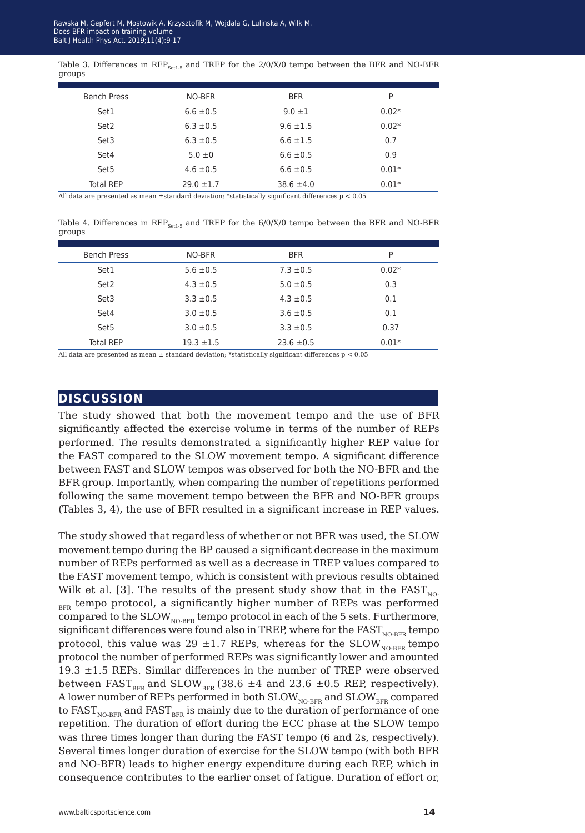|        | Table 3. Differences in $\text{REP}_{\text{cert-5}}$ and TREP for the 2/0/X/0 tempo between the BFR and NO-BFR |  |  |  |  |  |  |  |
|--------|----------------------------------------------------------------------------------------------------------------|--|--|--|--|--|--|--|
| groups |                                                                                                                |  |  |  |  |  |  |  |

| <b>Bench Press</b> | NO-BFR         | <b>BFR</b>     | P       |
|--------------------|----------------|----------------|---------|
| Set1               | $6.6 \pm 0.5$  | $9.0 \pm 1$    | $0.02*$ |
| Set2               | $6.3 \pm 0.5$  | $9.6 \pm 1.5$  | $0.02*$ |
| Set3               | $6.3 \pm 0.5$  | $6.6 \pm 1.5$  | 0.7     |
| Set4               | $5.0 \pm 0$    | $6.6 \pm 0.5$  | 0.9     |
| Set <sub>5</sub>   | $4.6 \pm 0.5$  | $6.6 \pm 0.5$  | $0.01*$ |
| <b>Total REP</b>   | $29.0 \pm 1.7$ | $38.6 \pm 4.0$ | $0.01*$ |
|                    |                |                |         |

All data are presented as mean  $\pm$ standard deviation; \*statistically significant differences  $p < 0.05$ 

Table 4. Differences in  $\text{REP}_{\text{Set}1-5}$  and TREP for the 6/0/X/0 tempo between the BFR and NO-BFR groups

| <b>Bench Press</b> | NO-BFR         | <b>BFR</b>     | P       |
|--------------------|----------------|----------------|---------|
| Set1               | $5.6 \pm 0.5$  | $7.3 \pm 0.5$  | $0.02*$ |
| Set2               | $4.3 \pm 0.5$  | $5.0 \pm 0.5$  | 0.3     |
| Set3               | $3.3 \pm 0.5$  | $4.3 \pm 0.5$  | 0.1     |
| Set4               | $3.0 \pm 0.5$  | $3.6 \pm 0.5$  | 0.1     |
| Set <sub>5</sub>   | $3.0 \pm 0.5$  | $3.3 \pm 0.5$  | 0.37    |
| <b>Total REP</b>   | $19.3 \pm 1.5$ | $23.6 \pm 0.5$ | $0.01*$ |

All data are presented as mean  $\pm$  standard deviation; \*statistically significant differences  $p < 0.05$ 

## **discussion**

The study showed that both the movement tempo and the use of BFR significantly affected the exercise volume in terms of the number of REPs performed. The results demonstrated a significantly higher REP value for the FAST compared to the SLOW movement tempo. A significant difference between FAST and SLOW tempos was observed for both the NO-BFR and the BFR group. Importantly, when comparing the number of repetitions performed following the same movement tempo between the BFR and NO-BFR groups (Tables 3, 4), the use of BFR resulted in a significant increase in REP values.

The study showed that regardless of whether or not BFR was used, the SLOW movement tempo during the BP caused a significant decrease in the maximum number of REPs performed as well as a decrease in TREP values compared to the FAST movement tempo, which is consistent with previous results obtained Wilk et al. [3]. The results of the present study show that in the  $FAST_{NO}$ BFR tempo protocol, a significantly higher number of REPs was performed compared to the  $SLOW_{NORFR}$  tempo protocol in each of the 5 sets. Furthermore, significant differences were found also in TREP, where for the  $FAST_{NORFR}$  tempo protocol, this value was 29  $\pm$ 1.7 REPs, whereas for the SLOW<sub>NO-BFR</sub> tempo protocol the number of performed REPs was significantly lower and amounted 19.3 ±1.5 REPs. Similar differences in the number of TREP were observed between FAST<sub>BFR</sub> and SLOW<sub>BFR</sub> (38.6  $\pm$ 4 and 23.6  $\pm$ 0.5 REP, respectively). A lower number of REPs performed in both  $SLOW_{NORFR}$  and  $SLOW_{RFR}$  compared to  $FAST_{NORFR}$  and  $FAST_{RFR}$  is mainly due to the duration of performance of one repetition. The duration of effort during the ECC phase at the SLOW tempo was three times longer than during the FAST tempo (6 and 2s, respectively). Several times longer duration of exercise for the SLOW tempo (with both BFR and NO-BFR) leads to higher energy expenditure during each REP, which in consequence contributes to the earlier onset of fatigue. Duration of effort or,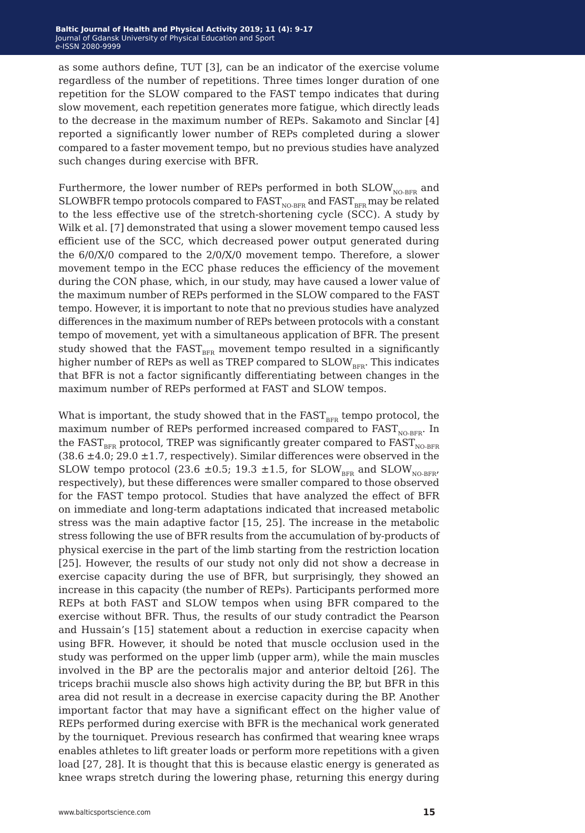as some authors define, TUT [3], can be an indicator of the exercise volume regardless of the number of repetitions. Three times longer duration of one repetition for the SLOW compared to the FAST tempo indicates that during slow movement, each repetition generates more fatigue, which directly leads to the decrease in the maximum number of REPs. Sakamoto and Sinclar [4] reported a significantly lower number of REPs completed during a slower compared to a faster movement tempo, but no previous studies have analyzed such changes during exercise with BFR.

Furthermore, the lower number of REPs performed in both  $SLOW_{N0-BFR}$  and SLOWBFR tempo protocols compared to  $FAST_{NORFR}$  and  $FAST_{BFR}$  may be related to the less effective use of the stretch-shortening cycle (SCC). A study by Wilk et al. [7] demonstrated that using a slower movement tempo caused less efficient use of the SCC, which decreased power output generated during the 6/0/X/0 compared to the 2/0/X/0 movement tempo. Therefore, a slower movement tempo in the ECC phase reduces the efficiency of the movement during the CON phase, which, in our study, may have caused a lower value of the maximum number of REPs performed in the SLOW compared to the FAST tempo. However, it is important to note that no previous studies have analyzed differences in the maximum number of REPs between protocols with a constant tempo of movement, yet with a simultaneous application of BFR. The present study showed that the  $FAST_{BFR}$  movement tempo resulted in a significantly higher number of REPs as well as TREP compared to  $SLOW_{RFR}$ . This indicates that BFR is not a factor significantly differentiating between changes in the maximum number of REPs performed at FAST and SLOW tempos.

What is important, the study showed that in the  $FAST_{BFR}$  tempo protocol, the maximum number of REPs performed increased compared to  $FAST_{NO-BFR}$ . In the FAST<sub>RFR</sub> protocol, TREP was significantly greater compared to  $FAST_{NORFR}$ (38.6  $\pm$ 4.0; 29.0  $\pm$ 1.7, respectively). Similar differences were observed in the SLOW tempo protocol (23.6  $\pm$ 0.5; 19.3  $\pm$ 1.5, for SLOW<sub>BFR</sub> and SLOW<sub>NO-BFR</sub>, respectively), but these differences were smaller compared to those observed for the FAST tempo protocol. Studies that have analyzed the effect of BFR on immediate and long-term adaptations indicated that increased metabolic stress was the main adaptive factor [15, 25]. The increase in the metabolic stress following the use of BFR results from the accumulation of by-products of physical exercise in the part of the limb starting from the restriction location [25]. However, the results of our study not only did not show a decrease in exercise capacity during the use of BFR, but surprisingly, they showed an increase in this capacity (the number of REPs). Participants performed more REPs at both FAST and SLOW tempos when using BFR compared to the exercise without BFR. Thus, the results of our study contradict the Pearson and Hussain's [15] statement about a reduction in exercise capacity when using BFR. However, it should be noted that muscle occlusion used in the study was performed on the upper limb (upper arm), while the main muscles involved in the BP are the pectoralis major and anterior deltoid [26]. The triceps brachii muscle also shows high activity during the BP, but BFR in this area did not result in a decrease in exercise capacity during the BP. Another important factor that may have a significant effect on the higher value of REPs performed during exercise with BFR is the mechanical work generated by the tourniquet. Previous research has confirmed that wearing knee wraps enables athletes to lift greater loads or perform more repetitions with a given load [27, 28]. It is thought that this is because elastic energy is generated as knee wraps stretch during the lowering phase, returning this energy during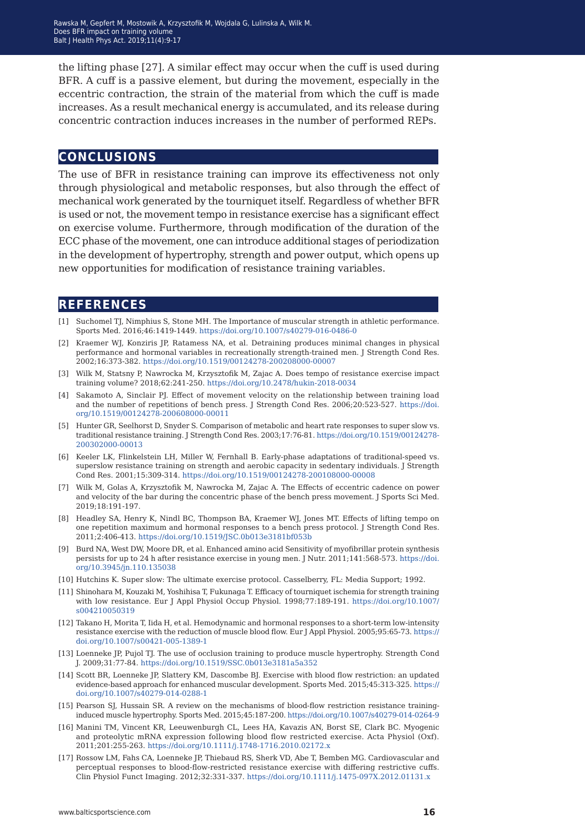the lifting phase [27]. A similar effect may occur when the cuff is used during BFR. A cuff is a passive element, but during the movement, especially in the eccentric contraction, the strain of the material from which the cuff is made increases. As a result mechanical energy is accumulated, and its release during concentric contraction induces increases in the number of performed REPs.

## **conclusions**

The use of BFR in resistance training can improve its effectiveness not only through physiological and metabolic responses, but also through the effect of mechanical work generated by the tourniquet itself. Regardless of whether BFR is used or not, the movement tempo in resistance exercise has a significant effect on exercise volume. Furthermore, through modification of the duration of the ECC phase of the movement, one can introduce additional stages of periodization in the development of hypertrophy, strength and power output, which opens up new opportunities for modification of resistance training variables.

## **references**

- [1] Suchomel TJ, Nimphius S, Stone MH. The Importance of muscular strength in athletic performance. Sports Med. 2016;46:1419-1449.<https://doi.org/10.1007/s40279-016-0486-0>
- [2] Kraemer WJ, Konziris JP, Ratamess NA, et al. Detraining produces minimal changes in physical performance and hormonal variables in recreationally strength-trained men. J Strength Cond Res. 2002;16:373-382. <https://doi.org/10.1519/00124278-200208000-00007>
- [3] Wilk M, Statsny P, Nawrocka M, Krzysztofik M, Zajac A. Does tempo of resistance exercise impact training volume? 2018;62:241-250. <https://doi.org/10.2478/hukin-2018-0034>
- [4] Sakamoto A, Sinclair PJ. Effect of movement velocity on the relationship between training load and the number of repetitions of bench press. J Strength Cond Res. 2006;20:523-527. [https://doi.](https://doi.org/10.1519/00124278-200608000-00011) [org/10.1519/00124278-200608000-00011](https://doi.org/10.1519/00124278-200608000-00011)
- [5] Hunter GR, Seelhorst D, Snyder S. Comparison of metabolic and heart rate responses to super slow vs. traditional resistance training. J Strength Cond Res. 2003;17:76-81. [https://doi.org/10.1519/00124278-](https://doi.org/10.1519/00124278-200302000-00013) [200302000-00013](https://doi.org/10.1519/00124278-200302000-00013)
- [6] Keeler LK, Flinkelstein LH, Miller W, Fernhall B. Early-phase adaptations of traditional-speed vs. superslow resistance training on strength and aerobic capacity in sedentary individuals. J Strength Cond Res. 2001;15:309-314. <https://doi.org/10.1519/00124278-200108000-00008>
- [7] Wilk M, Golas A, Krzysztofik M, Nawrocka M, Zajac A. The Effects of eccentric cadence on power and velocity of the bar during the concentric phase of the bench press movement. J Sports Sci Med. 2019;18:191-197.
- [8] Headley SA, Henry K, Nindl BC, Thompson BA, Kraemer WJ, Jones MT. Effects of lifting tempo on one repetition maximum and hormonal responses to a bench press protocol. J Strength Cond Res. 2011;2:406-413.<https://doi.org/10.1519/JSC.0b013e3181bf053b>
- [9] Burd NA, West DW, Moore DR, et al. Enhanced amino acid Sensitivity of myofibrillar protein synthesis persists for up to 24 h after resistance exercise in young men. J Nutr. 2011;141:568-573. [https://doi.](https://doi.org/10.3945/jn.110.135038) [org/10.3945/jn.110.135038](https://doi.org/10.3945/jn.110.135038)
- [10] Hutchins K. Super slow: The ultimate exercise protocol. Casselberry, FL: Media Support; 1992.
- [11] Shinohara M, Kouzaki M, Yoshihisa T, Fukunaga T. Efficacy of tourniquet ischemia for strength training with low resistance. Eur J Appl Physiol Occup Physiol. 1998;77:189-191. [https://doi.org/10.1007/](https://doi.org/10.1007/s004210050319) [s004210050319](https://doi.org/10.1007/s004210050319)
- [12] Takano H, Morita T, Iida H, et al. Hemodynamic and hormonal responses to a short-term low-intensity resistance exercise with the reduction of muscle blood flow. Eur J Appl Physiol. 2005;95:65-73. [https://](https://doi.org/10.1007/s00421-005-1389-1) [doi.org/10.1007/s00421-005-1389-1](https://doi.org/10.1007/s00421-005-1389-1)
- [13] Loenneke JP, Pujol TJ. The use of occlusion training to produce muscle hypertrophy. Strength Cond J. 2009;31:77-84.<https://doi.org/10.1519/SSC.0b013e3181a5a352>
- [14] Scott BR, Loenneke JP, Slattery KM, Dascombe BJ. Exercise with blood flow restriction: an updated evidence-based approach for enhanced muscular development. Sports Med. 2015;45:313-325. [https://](https://doi.org/10.1007/s40279-014-0288-1) [doi.org/10.1007/s40279-014-0288-1](https://doi.org/10.1007/s40279-014-0288-1)
- [15] Pearson SJ, Hussain SR. A review on the mechanisms of blood-flow restriction resistance traininginduced muscle hypertrophy. Sports Med. 2015;45:187-200.<https://doi.org/10.1007/s40279-014-0264-9>
- [16] Manini TM, Vincent KR, Leeuwenburgh CL, Lees HA, Kavazis AN, Borst SE, Clark BC. Myogenic and proteolytic mRNA expression following blood flow restricted exercise. Acta Physiol (Oxf). 2011;201:255-263.<https://doi.org/10.1111/j.1748-1716.2010.02172.x>
- [17] Rossow LM, Fahs CA, Loenneke JP, Thiebaud RS, Sherk VD, Abe T, Bemben MG. Cardiovascular and perceptual responses to blood-flow-restricted resistance exercise with differing restrictive cuffs. Clin Physiol Funct Imaging. 2012;32:331-337.<https://doi.org/10.1111/j.1475-097X.2012.01131.x>